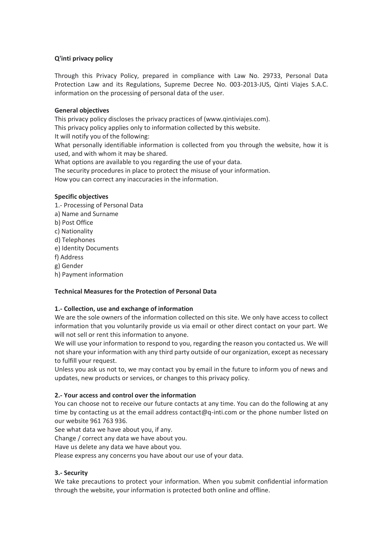## **Q'inti privacy policy**

Through this Privacy Policy, prepared in compliance with Law No. 29733, Personal Data Protection Law and its Regulations, Supreme Decree No. 003-2013-JUS, Qinti Viajes S.A.C. information on the processing of personal data of the user.

## **General objectives**

This privacy policy discloses the privacy practices of (www.qintiviajes.com).

This privacy policy applies only to information collected by this website.

It will notify you of the following:

What personally identifiable information is collected from you through the website, how it is used, and with whom it may be shared.

What options are available to you regarding the use of your data.

The security procedures in place to protect the misuse of your information.

How you can correct any inaccuracies in the information.

## **Specific objectives**

- 1.- Processing of Personal Data
- a) Name and Surname
- b) Post Office
- c) Nationality
- d) Telephones
- e) Identity Documents
- f) Address
- g) Gender
- h) Payment information

# **Technical Measures for the Protection of Personal Data**

### **1.- Collection, use and exchange of information**

We are the sole owners of the information collected on this site. We only have access to collect information that you voluntarily provide us via email or other direct contact on your part. We will not sell or rent this information to anyone.

We will use your information to respond to you, regarding the reason you contacted us. We will not share your information with any third party outside of our organization, except as necessary to fulfill your request.

Unless you ask us not to, we may contact you by email in the future to inform you of news and updates, new products or services, or changes to this privacy policy.

### **2.- Your access and control over the information**

You can choose not to receive our future contacts at any time. You can do the following at any time by contacting us at the email address contact@q-inti.com or the phone number listed on our website 961 763 936.

See what data we have about you, if any.

Change / correct any data we have about you.

Have us delete any data we have about you.

Please express any concerns you have about our use of your data.

# **3.- Security**

We take precautions to protect your information. When you submit confidential information through the website, your information is protected both online and offline.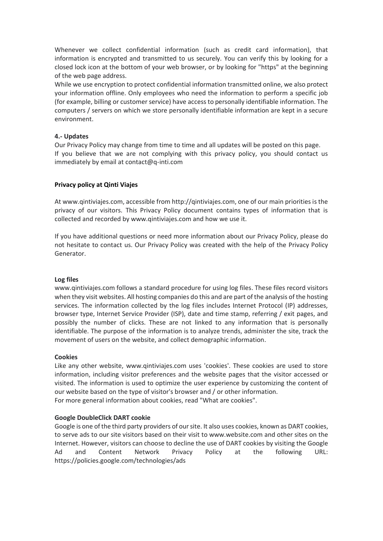Whenever we collect confidential information (such as credit card information), that information is encrypted and transmitted to us securely. You can verify this by looking for a closed lock icon at the bottom of your web browser, or by looking for "https" at the beginning of the web page address.

While we use encryption to protect confidential information transmitted online, we also protect your information offline. Only employees who need the information to perform a specific job (for example, billing or customer service) have access to personally identifiable information. The computers / servers on which we store personally identifiable information are kept in a secure environment.

## **4.- Updates**

Our Privacy Policy may change from time to time and all updates will be posted on this page. If you believe that we are not complying with this privacy policy, you should contact us immediately by email at contact@q-inti.com

## **Privacy policy at Qinti Viajes**

At www.qintiviajes.com, accessible from http://qintiviajes.com, one of our main priorities is the privacy of our visitors. This Privacy Policy document contains types of information that is collected and recorded by www.qintiviajes.com and how we use it.

If you have additional questions or need more information about our Privacy Policy, please do not hesitate to contact us. Our Privacy Policy was created with the help of the Privacy Policy Generator.

### **Log files**

www.qintiviajes.com follows a standard procedure for using log files. These files record visitors when they visit websites. All hosting companies do this and are part of the analysis of the hosting services. The information collected by the log files includes Internet Protocol (IP) addresses, browser type, Internet Service Provider (ISP), date and time stamp, referring / exit pages, and possibly the number of clicks. These are not linked to any information that is personally identifiable. The purpose of the information is to analyze trends, administer the site, track the movement of users on the website, and collect demographic information.

### **Cookies**

Like any other website, www.qintiviajes.com uses 'cookies'. These cookies are used to store information, including visitor preferences and the website pages that the visitor accessed or visited. The information is used to optimize the user experience by customizing the content of our website based on the type of visitor's browser and / or other information. For more general information about cookies, read "What are cookies".

### **Google DoubleClick DART cookie**

Google is one of the third party providers of our site. It also uses cookies, known as DART cookies, to serve ads to our site visitors based on their visit to www.website.com and other sites on the Internet. However, visitors can choose to decline the use of DART cookies by visiting the Google Ad and Content Network Privacy Policy at the following URL: https://policies.google.com/technologies/ads